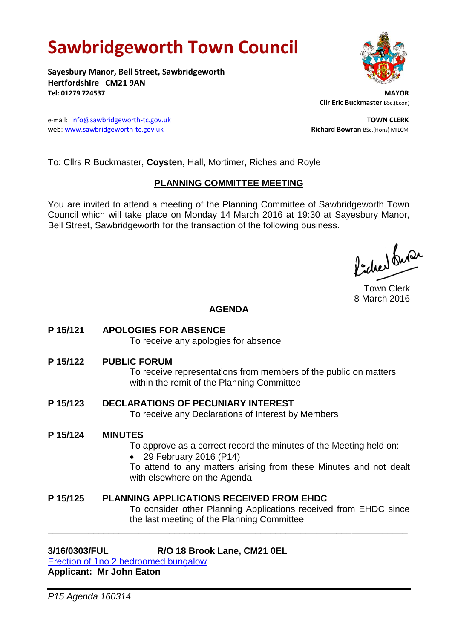# **Sawbridgeworth Town Council**

**Sayesbury Manor, Bell Street, Sawbridgeworth Hertfordshire CM21 9AN Tel: 01279 724537 MAYOR**

e-mail: [info@sawbridgeworth-tc.gov.uk](mailto:info@sawbridgeworth-tc.gov.uk) **TOWN CLERK** web: www.sawbridgeworth-tc.gov.uk<br>
Richard Bowran BSc.(Hons) MILCM

To: Cllrs R Buckmaster, **Coysten,** Hall, Mortimer, Riches and Royle

## **PLANNING COMMITTEE MEETING**

You are invited to attend a meeting of the Planning Committee of Sawbridgeworth Town Council which will take place on Monday 14 March 2016 at 19:30 at Sayesbury Manor, Bell Street, Sawbridgeworth for the transaction of the following business.

lacher buse

Town Clerk 8 March 2016

## **AGENDA**

**P 15/121 APOLOGIES FOR ABSENCE** To receive any apologies for absence

**P 15/122 PUBLIC FORUM**

To receive representations from members of the public on matters within the remit of the Planning Committee

**P 15/123 DECLARATIONS OF PECUNIARY INTEREST** To receive any Declarations of Interest by Members

#### **P 15/124 MINUTES**

To approve as a correct record the minutes of the Meeting held on:

29 February 2016 (P14)

To attend to any matters arising from these Minutes and not dealt with elsewhere on the Agenda.

#### **P 15/125 PLANNING APPLICATIONS RECEIVED FROM EHDC** To consider other Planning Applications received from EHDC since the last meeting of the Planning Committee

**\_\_\_\_\_\_\_\_\_\_\_\_\_\_\_\_\_\_\_\_\_\_\_\_\_\_\_\_\_\_\_\_\_\_\_\_\_\_\_\_\_\_\_\_\_\_\_\_\_\_\_\_\_\_\_\_\_\_\_\_\_\_\_\_\_\_\_\_\_\_\_**

## **3/16/0303/FUL R/O 18 Brook Lane, CM21 0EL**

[Erection of 1no 2 bedroomed bungalow](https://publicaccess.eastherts.gov.uk/online-applications/applicationDetails.do?activeTab=summary&keyVal=O29SWZGLILO00) **Applicant: Mr John Eaton**



 **Cllr Eric Buckmaster** BSc.(Econ)